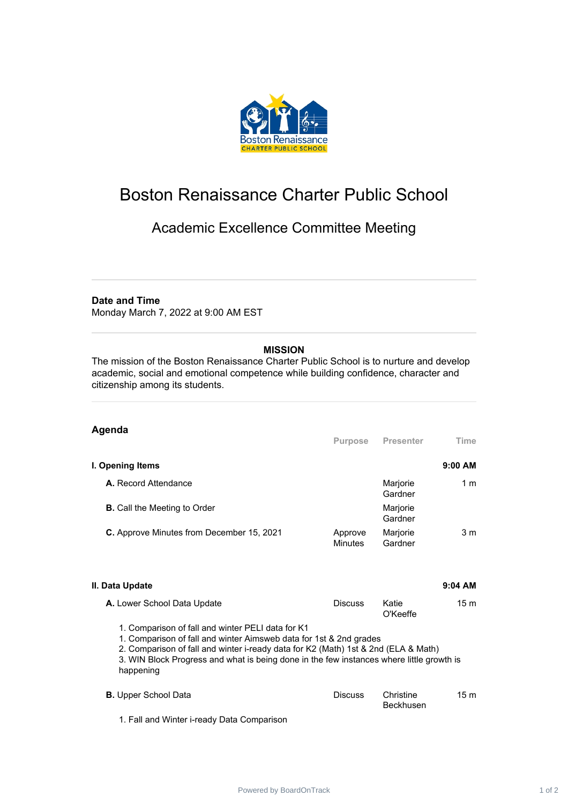

# Boston Renaissance Charter Public School

## Academic Excellence Committee Meeting

#### **Date and Time**

Monday March 7, 2022 at 9:00 AM EST

### **MISSION**

The mission of the Boston Renaissance Charter Public School is to nurture and develop academic, social and emotional competence while building confidence, character and citizenship among its students.

#### **Agenda**

|                                                  | <b>Purpose</b>            | <b>Presenter</b>    | Time           |
|--------------------------------------------------|---------------------------|---------------------|----------------|
| I. Opening Items                                 |                           |                     | $9:00$ AM      |
| A. Record Attendance                             |                           | Marjorie<br>Gardner | 1 m            |
| <b>B.</b> Call the Meeting to Order              |                           | Marjorie<br>Gardner |                |
| <b>C.</b> Approve Minutes from December 15, 2021 | Approve<br><b>Minutes</b> | Marjorie<br>Gardner | 3 <sub>m</sub> |

#### **II. Data Update 9:04 AM A.** Lower School Data Update **Discuss** Katie O'Keeffe 15 m 1. Comparison of fall and winter PELI data for K1 1. Comparison of fall and winter Aimsweb data for 1st & 2nd grades

2. Comparison of fall and winter i-ready data for K2 (Math) 1st & 2nd (ELA & Math) 3. WIN Block Progress and what is being done in the few instances where little growth is happening

| <b>B.</b> Upper School Data                | Discuss. | Christine<br><b>Beckhusen</b> | 15m |
|--------------------------------------------|----------|-------------------------------|-----|
| 1. Fall and Winter i-ready Data Comparison |          |                               |     |